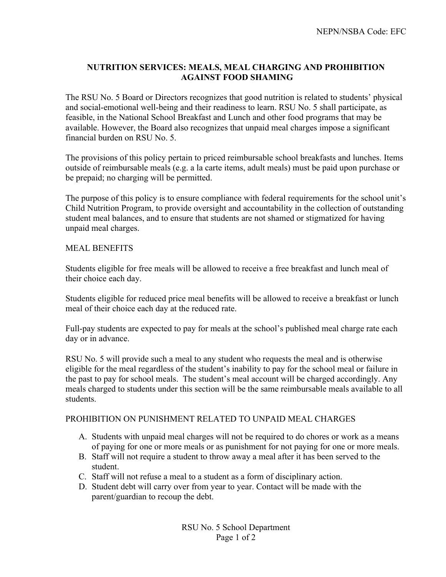# **NUTRITION SERVICES: MEALS, MEAL CHARGING AND PROHIBITION AGAINST FOOD SHAMING**

The RSU No. 5 Board or Directors recognizes that good nutrition is related to students' physical and social-emotional well-being and their readiness to learn. RSU No. 5 shall participate, as feasible, in the National School Breakfast and Lunch and other food programs that may be available. However, the Board also recognizes that unpaid meal charges impose a significant financial burden on RSU No. 5.

The provisions of this policy pertain to priced reimbursable school breakfasts and lunches. Items outside of reimbursable meals (e.g. a la carte items, adult meals) must be paid upon purchase or be prepaid; no charging will be permitted.

The purpose of this policy is to ensure compliance with federal requirements for the school unit's Child Nutrition Program, to provide oversight and accountability in the collection of outstanding student meal balances, and to ensure that students are not shamed or stigmatized for having unpaid meal charges.

## MEAL BENEFITS

Students eligible for free meals will be allowed to receive a free breakfast and lunch meal of their choice each day.

Students eligible for reduced price meal benefits will be allowed to receive a breakfast or lunch meal of their choice each day at the reduced rate.

Full-pay students are expected to pay for meals at the school's published meal charge rate each day or in advance.

RSU No. 5 will provide such a meal to any student who requests the meal and is otherwise eligible for the meal regardless of the student's inability to pay for the school meal or failure in the past to pay for school meals. The student's meal account will be charged accordingly. Any meals charged to students under this section will be the same reimbursable meals available to all students.

#### PROHIBITION ON PUNISHMENT RELATED TO UNPAID MEAL CHARGES

- A. Students with unpaid meal charges will not be required to do chores or work as a means of paying for one or more meals or as punishment for not paying for one or more meals.
- B. Staff will not require a student to throw away a meal after it has been served to the student.
- C. Staff will not refuse a meal to a student as a form of disciplinary action.
- D. Student debt will carry over from year to year. Contact will be made with the parent/guardian to recoup the debt.